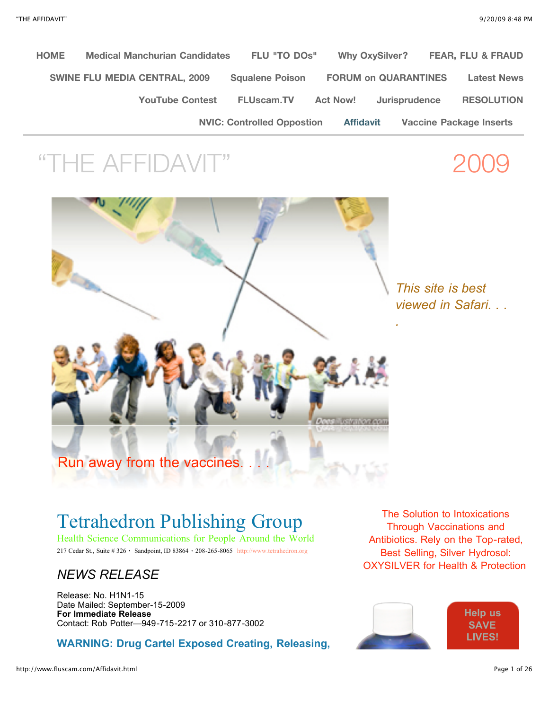**[HOME](http://www.fluscam.com/HOME.html) [Medical Manchurian Candidates](http://www.fluscam.com/Medical_Manchurian_Candidates.html) [FLU "TO DOs"](http://www.fluscam.com/FLU_%22TO_DOs%22.html) [Why OxySilver?](http://www.fluscam.com/Why_OxySilver.html) [FEAR, FLU & FRAUD](http://www.fluscam.com/FEAR,_FLU_%26_FRAUD.html) [SWINE FLU MEDIA CENTRAL, 2009](http://www.fluscam.com/SWINE_FLU_MEDIA_CENTRAL,_2009.html) [Squalene Poison](http://www.fluscam.com/Squalene_Poison.html) [FORUM on QUARANTINES](http://www.fluscam.com/FORUM_on_QUARANTINES.html) [Latest News](http://www.fluscam.com/Latest_News.html) [YouTube Contest](http://www.fluscam.com/YouTube_Contest.html) [FLUscam.TV](http://www.fluscam.com/FLUscam.TV.html) [Act Now!](http://www.fluscam.com/Act_Now%21.html) [Jurisprudence](http://www.fluscam.com/Jurisprudence.html) [RESOLUTION](http://www.fluscam.com/RESOLUTION.html) [NVIC: Controlled Oppostion](http://www.fluscam.com/NVIC__Controlled_Oppostion.html) [Affidavit](http://www.fluscam.com/Affidavit.html) [Vaccine Package Inserts](http://www.fluscam.com/Vaccine_Package_Inserts.html)**

# "THE AFFIDAV

*This site is best viewed in Safari. . .*

*.*



## Tetrahedron Publishing Group

Health Science Communications for People Around the World 217 Cedar St., Suite # 326 · Sandpoint, ID 83864 · 208-265-8065 [http://www.tetrahedron.org](http://www.tetrahedron.org/)

### *NEWS RELEASE*

Release: No. H1N1-15 Date Mailed: September-15-2009 **For Immediate Release** Contact: Rob Potter—949-715-2217 or 310-877-3002

**WARNING: Drug Cartel Exposed Creating, Releasing,**

The Solution to Intoxications Through Vaccinations and Antibiotics. Rely on the Top-rated, Best Selling, Silver Hydrosol: OXYSILVER for Health & Protection!

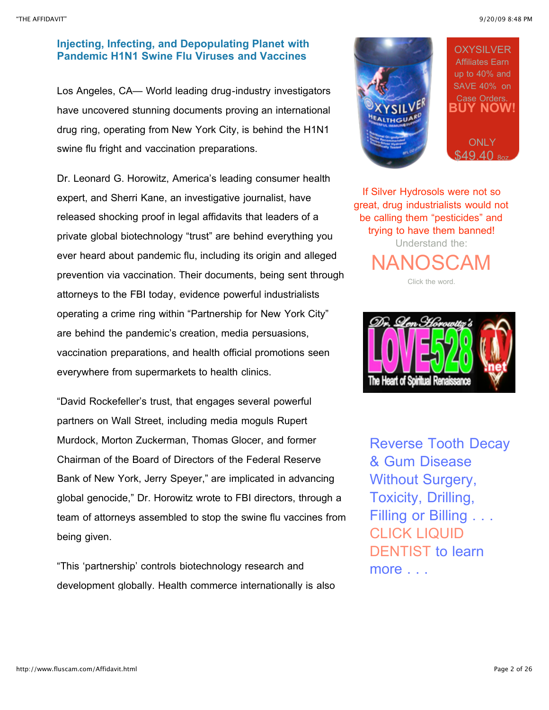"THE AFFIDAVIT" 9/20/09 8:48 PM

### **Injecting, Infecting, and Depopulating Planet with Pandemic H1N1 Swine Flu Viruses and Vaccines**

Los Angeles, CA— World leading drug-industry investigators have uncovered stunning documents proving an international drug ring, operating from New York City, is behind the H1N1 swine flu fright and vaccination preparations.

Dr. Leonard G. Horowitz, America's leading consumer health expert, and Sherri Kane, an investigative journalist, have released shocking proof in legal affidavits that leaders of a private global biotechnology "trust" are behind everything you ever heard about pandemic flu, including its origin and alleged prevention via vaccination. Their documents, being sent through attorneys to the FBI today, evidence powerful industrialists operating a crime ring within "Partnership for New York City" are behind the pandemic's creation, media persuasions, vaccination preparations, and health official promotions seen everywhere from supermarkets to health clinics.

"David Rockefeller's trust, that engages several powerful partners on Wall Street, including media moguls Rupert Murdock, Morton Zuckerman, Thomas Glocer, and former Chairman of the Board of Directors of the Federal Reserve Bank of New York, Jerry Speyer," are implicated in advancing global genocide," Dr. Horowitz wrote to FBI directors, through a team of attorneys assembled to stop the swine flu vaccines from being given.

"This 'partnership' controls biotechnology research and development globally. Health commerce internationally is also



If Silver Hydrosols were not so great, drug industrialists would not be calling them "pesticides" and trying to have them banned! Understand the:

[NANOSCAM](http://www.nanoscam.info/) Click the word.



The Heart of Soiritual Renaissance

Reverse Tooth Decay & Gum Disease Without Surgery, Toxicity, Drilling, Filling or Billing . . . CLICK LIQUID [DENTIST to lea](http://www.liquiddentist.net/)rn more . . .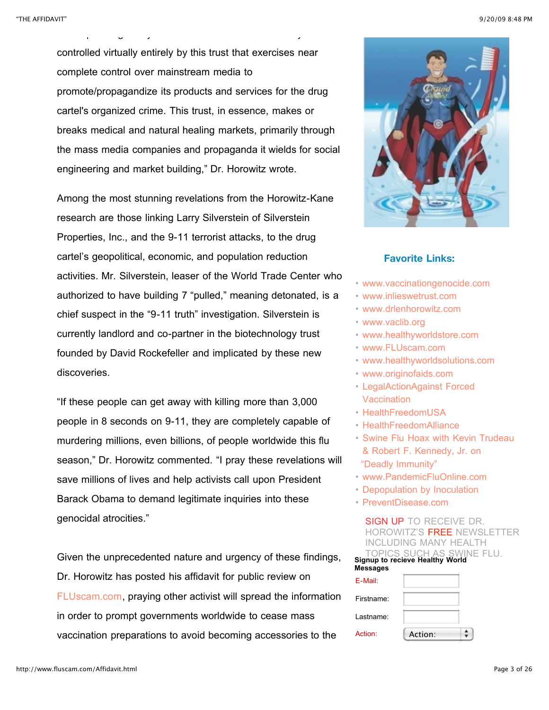controlled virtually entirely by this trust that exercises near complete control over mainstream media to promote/propagandize its products and services for the drug cartel's organized crime. This trust, in essence, makes or breaks medical and natural healing markets, primarily through the mass media companies and propaganda it wields for social engineering and market building," Dr. Horowitz wrote.

development globally. Health commerce internationally is also

Among the most stunning revelations from the Horowitz-Kane research are those linking Larry Silverstein of Silverstein Properties, Inc., and the 9-11 terrorist attacks, to the drug cartel's geopolitical, economic, and population reduction activities. Mr. Silverstein, leaser of the World Trade Center who authorized to have building 7 "pulled," meaning detonated, is a chief suspect in the "9-11 truth" investigation. Silverstein is currently landlord and co-partner in the biotechnology trust founded by David Rockefeller and implicated by these new discoveries.

"If these people can get away with killing more than 3,000 people in 8 seconds on 9-11, they are completely capable of murdering millions, even billions, of people worldwide this flu season," Dr. Horowitz commented. "I pray these revelations will save millions of lives and help activists call upon President Barack Obama to demand legitimate inquiries into these genocidal atrocities."

Given the unprecedented nature and urgency of these findings, Dr. Horowitz has posted his affidavit for public review on [FLUscam.com](http://www.fluscam.com/), praying other activist will spread the information in order to prompt governments worldwide to cease mass vaccination preparations to avoid becoming accessories to the



### **Favorite Links:**

- [www.vaccinationgenocide.com](http://web.mac.com/len15/Vaccination_Genocide/Welcome.html)
- [www.inlieswetrust.com](http://web.mac.com/len15/healthyworld_media/Blog/Entries/2007/9/4_In_Lies_We_Trust%3A_The_CIA%2C_Hollywood_%26_Bioterrorism.html)
- [www.drlenhorowitz.com](http://www.drlenhorowitz.com/)
- [www.vaclib.org](http://www.vaclib.org/)
- [www.healthyworldstore.com](http://www.healthyworldstore.com/)
- [www.FLUscam.com](http://www.FLUscam.com/)
- [www.healthyworldsolutions.com](http://www.healthyworldsolutions.com/)
- [www.originofaids.com](http://www.originofaids.com/)
- [LegalActionAgainst Forced](http://republicofhealth.wordpress.com/2009/07/07/legal-action-you-can-take-against-forced-vaccinations-opinion/) **Vaccination**
- [HealthFreedomUSA](http://www.HealthFreedomUSA.org/)
- [HealthFreedomAlliance](http://blogs.healthfreedomalliance.org/)
- [Swine Flu Hoax with Kevin Trudeau](http://wholefoodusa.wordpress.com/category/vaccine-nation-mass-vax/) & Robert F. Kennedy, Jr. on  ["Deadly Immunity"](http://wholefoodusa.wordpress.com/category/vaccine-nation-mass-vax/)
- [www.PandemicFluOnline.com](http://www.PandemicFluOnline.com/)
- [Depopulation by Inoculation](http://farmwars.info/?p=1355)
- [PreventDisease.com](http://preventdisease.com/news/09/081809_swine_flu_hype.shtml)

SIGN UP TO RECEIVE DR. HOROWITZ'S FREE NEWSLETTER INCLUDING MANY HEALTH TOPICS SUCH AS SWINE FLU. **Signup to recieve Healthy World**

**Messages**

| E-Mail:    |         |  |
|------------|---------|--|
| Firstname: |         |  |
| Lastname:  |         |  |
| Action:    | Action: |  |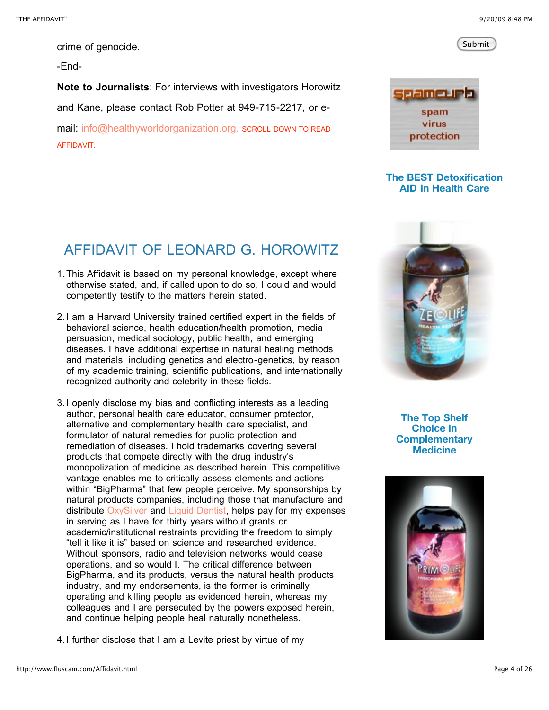Submit

crime of genocide.

-End-

**Note to Journalists**: For interviews with investigators Horowitz and Kane, please contact Rob Potter at 949-715-2217, or email: [info@healthyworldorganization.org.](mailto:info@healthyworldorganization.org?subject=Healthy%20World%20Organication%20Inquiry) SCROLL DOWN TO READ AFFIDAVIT.



### **The BEST Detoxification AID in Health Care**

### AFFIDAVIT OF LEONARD G. HOROWITZ

- 1. This Affidavit is based on my personal knowledge, except where otherwise stated, and, if called upon to do so, I could and would competently testify to the matters herein stated.
- 2. I am a Harvard University trained certified expert in the fields of behavioral science, health education/health promotion, media persuasion, medical sociology, public health, and emerging diseases. I have additional expertise in natural healing methods and materials, including genetics and electro-genetics, by reason of my academic training, scientific publications, and internationally recognized authority and celebrity in these fields.
- 3. I openly disclose my bias and conflicting interests as a leading author, personal health care educator, consumer protector, alternative and complementary health care specialist, and formulator of natural remedies for public protection and remediation of diseases. I hold trademarks covering several products that compete directly with the drug industry's monopolization of medicine as described herein. This competitive vantage enables me to critically assess elements and actions within "BigPharma" that few people perceive. My sponsorships by natural products companies, including those that manufacture and distribute [OxySilver](http://www.oxysilver.com/) and [Liquid Dentist](http://www.liquiddentist.net/), helps pay for my expenses in serving as I have for thirty years without grants or academic/institutional restraints providing the freedom to simply "tell it like it is" based on science and researched evidence. Without sponsors, radio and television networks would cease operations, and so would I. The critical difference between BigPharma, and its products, versus the natural health products industry, and my endorsements, is the former is criminally operating and killing people as evidenced herein, whereas my colleagues and I are persecuted by the powers exposed herein, and continue helping people heal naturally nonetheless.
- 4. I further disclose that I am a Levite priest by virtue of my



**The Top Shelf Choice in Complementary Medicine**

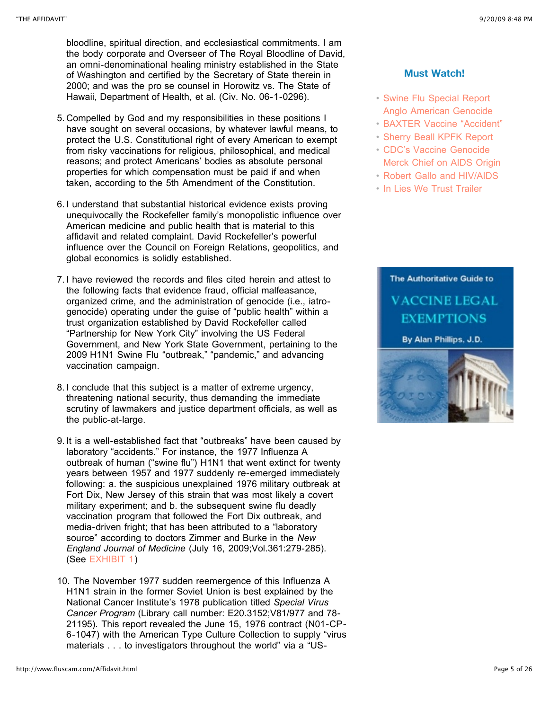bloodline, spiritual direction, and ecclesiastical commitments. I am the body corporate and Overseer of The Royal Bloodline of David, an omni-denominational healing ministry established in the State of Washington and certified by the Secretary of State therein in 2000; and was the pro se counsel in Horowitz vs. The State of Hawaii, Department of Health, et al. (Civ. No. 06-1-0296).

- 5. Compelled by God and my responsibilities in these positions I have sought on several occasions, by whatever lawful means, to protect the U.S. Constitutional right of every American to exempt from risky vaccinations for religious, philosophical, and medical reasons; and protect Americans' bodies as absolute personal properties for which compensation must be paid if and when taken, according to the 5th Amendment of the Constitution.
- 6. I understand that substantial historical evidence exists proving unequivocally the Rockefeller family's monopolistic influence over American medicine and public health that is material to this affidavit and related complaint. David Rockefeller's powerful influence over the Council on Foreign Relations, geopolitics, and global economics is solidly established.
- 7. I have reviewed the records and files cited herein and attest to the following facts that evidence fraud, official malfeasance, organized crime, and the administration of genocide (i.e., iatrogenocide) operating under the guise of "public health" within a trust organization established by David Rockefeller called "Partnership for New York City" involving the US Federal Government, and New York State Government, pertaining to the 2009 H1N1 Swine Flu "outbreak," "pandemic," and advancing vaccination campaign.
- 8. I conclude that this subject is a matter of extreme urgency, threatening national security, thus demanding the immediate scrutiny of lawmakers and justice department officials, as well as the public-at-large.
- 9. It is a well-established fact that "outbreaks" have been caused by laboratory "accidents." For instance, the 1977 Influenza A outbreak of human ("swine flu") H1N1 that went extinct for twenty years between 1957 and 1977 suddenly re-emerged immediately following: a. the suspicious unexplained 1976 military outbreak at Fort Dix, New Jersey of this strain that was most likely a covert military experiment; and b. the subsequent swine flu deadly vaccination program that followed the Fort Dix outbreak, and media-driven fright; that has been attributed to a "laboratory source" according to doctors Zimmer and Burke in the *New England Journal of Medicine* (July 16, 2009;Vol.361:279-285). (See [EXHIBIT 1](http://74.125.95.132/search?q=cache:OW9fBitLNY4J:www.finanzaonline.com/forum/showthread.php%3Ft%3D1084195%26page%3D5+Zimmer+and+Burke+NEJM+July+16,+2009%3BVol.361:279-285&cd=1&hl=en&ct=clnk&gl=us))
- 10. The November 1977 sudden reemergence of this Influenza A H1N1 strain in the former Soviet Union is best explained by the National Cancer Institute's 1978 publication titled *Special Virus Cancer Program* (Library call number: E20.3152;V81/977 and 78- 21195). This report revealed the June 15, 1976 contract (N01-CP-6-1047) with the American Type Culture Collection to supply "virus materials . . . to investigators throughout the world" via a "US-

### **Must Watch!**

- [Swine Flu Special Report](http://www.youtube.com/watch?v=GBeKB7aKzOs) [Anglo American Genocide](http://www.youtube.com/watch?v=egbVv2x6FqA)
- [BAXTER Vaccine "Accident"](http://www.youtube.com/watch?v=IcVDok5LrAg)
- [Sherry Beall KPFK Report](http://www.drlenhorowitz.com/)
- [CDC's Vaccine Genocide](http://www.youtube.com/watch?v=gwRCmhQ615w) [Merck Chief on AIDS Origin](http://www.youtube.com/watch?v=edikv0zbAlU)
- [Robert Gallo and HIV/AIDS](http://www.youtube.com/watch?v=CDxZ7PX8YGI&feature=related)
- [In Lies We Trust Trailer](http://web.mac.com/len15/healthyworld_media/Blog/Entries/2007/9/4_In_Lies_We_Trust:_The_CIA,_Hollywood_&_Bioterrorism.html)

### The Authoritative Guide to **VACCINE LEGAL EXEMPTIONS**

By Alan Phillips, J.D.

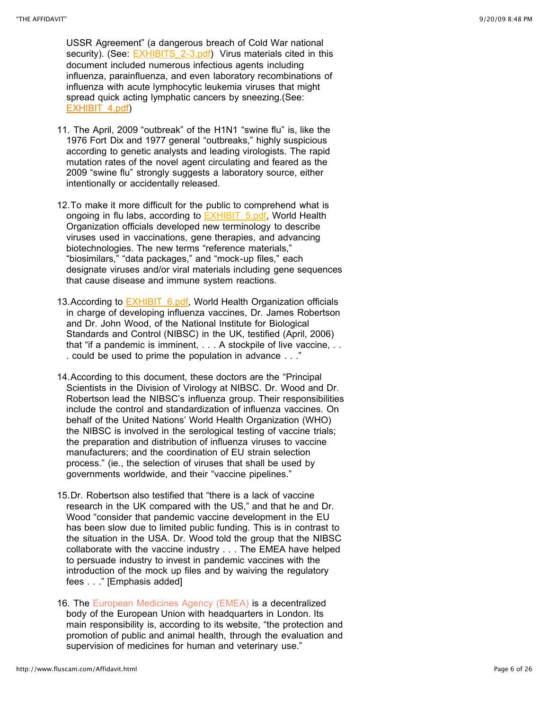USSR Agreement" (a dangerous breach of Cold War national security). (See: **EXHIBITS** 2-3.pdf) Virus materials cited in this document included numerous infectious agents including influenza, parainfluenza, and even laboratory recombinations of influenza with acute lymphocytic leukemia viruses that might spread quick acting lymphatic cancers by sneezing.(See: [EXHIBIT\\_4.pdf\)](http://www.fluscam.com/Affidavit_files/EXHIBIT_4.pdf)

- 11. The April, 2009 "outbreak" of the H1N1 "swine flu" is, like the 1976 Fort Dix and 1977 general "outbreaks," highly suspicious according to genetic analysts and leading virologists. The rapid mutation rates of the novel agent circulating and feared as the 2009 "swine flu" strongly suggests a laboratory source, either intentionally or accidentally released.
- 12.To make it more difficult for the public to comprehend what is ongoing in flu labs, according to **EXHIBIT** 5.pdf, World Health Organization officials developed new terminology to describe viruses used in vaccinations, gene therapies, and advancing biotechnologies. The new terms "reference materials," "biosimilars," "data packages," and "mock-up files," each designate viruses and/or viral materials including gene sequences that cause disease and immune system reactions.
- 13. According to **EXHIBIT\_6.pdf**, World Health Organization officials in charge of developing influenza vaccines, Dr. James Robertson and Dr. John Wood, of the National Institute for Biological Standards and Control (NIBSC) in the UK, testified (April, 2006) that "if a pandemic is imminent, . . . A stockpile of live vaccine, . . . could be used to prime the population in advance . . ."
- 14.According to this document, these doctors are the "Principal Scientists in the Division of Virology at NIBSC. Dr. Wood and Dr. Robertson lead the NIBSC's influenza group. Their responsibilities include the control and standardization of influenza vaccines. On behalf of the United Nations' World Health Organization (WHO) the NIBSC is involved in the serological testing of vaccine trials; the preparation and distribution of influenza viruses to vaccine manufacturers; and the coordination of EU strain selection process." (ie., the selection of viruses that shall be used by governments worldwide, and their "vaccine pipelines."
- 15.Dr. Robertson also testified that "there is a lack of vaccine research in the UK compared with the US," and that he and Dr. Wood "consider that pandemic vaccine development in the EU has been slow due to limited public funding. This is in contrast to the situation in the USA. Dr. Wood told the group that the NIBSC collaborate with the vaccine industry . . . The EMEA have helped to persuade industry to invest in pandemic vaccines with the introduction of the mock up files and by waiving the regulatory fees . . ." [Emphasis added]
- 16. The [European Medicines Agency \(EMEA\)](http://www.emea.europa.eu/) is a decentralized body of the European Union with headquarters in London. Its main responsibility is, according to its website, "the protection and promotion of public and animal health, through the evaluation and supervision of medicines for human and veterinary use."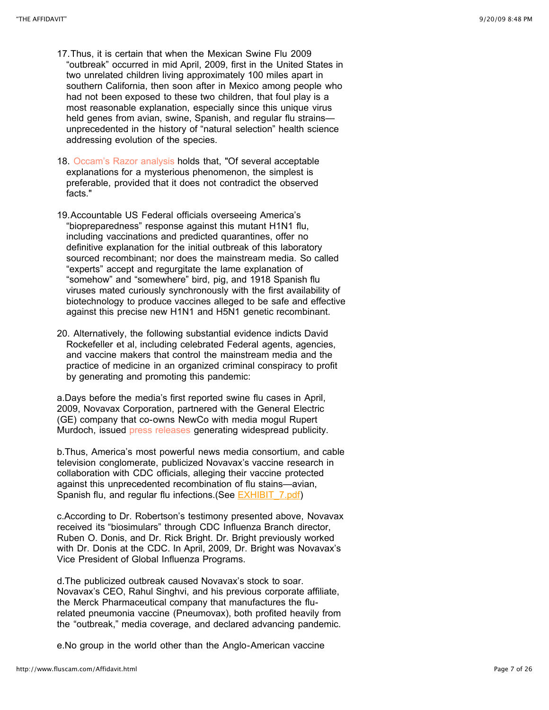- 17.Thus, it is certain that when the Mexican Swine Flu 2009 "outbreak" occurred in mid April, 2009, first in the United States in two unrelated children living approximately 100 miles apart in southern California, then soon after in Mexico among people who had not been exposed to these two children, that foul play is a most reasonable explanation, especially since this unique virus held genes from avian, swine, Spanish, and regular flu strainsunprecedented in the history of "natural selection" health science addressing evolution of the species.
- 18. [Occam's Razor analysis](http://en.wikipedia.org/wiki/Occam%27s_razor) holds that, "Of several acceptable explanations for a mysterious phenomenon, the simplest is preferable, provided that it does not contradict the observed facts."
- 19.Accountable US Federal officials overseeing America's "biopreparedness" response against this mutant H1N1 flu, including vaccinations and predicted quarantines, offer no definitive explanation for the initial outbreak of this laboratory sourced recombinant; nor does the mainstream media. So called "experts" accept and regurgitate the lame explanation of "somehow" and "somewhere" bird, pig, and 1918 Spanish flu viruses mated curiously synchronously with the first availability of biotechnology to produce vaccines alleged to be safe and effective against this precise new H1N1 and H5N1 genetic recombinant.
- 20. Alternatively, the following substantial evidence indicts David Rockefeller et al, including celebrated Federal agents, agencies, and vaccine makers that control the mainstream media and the practice of medicine in an organized criminal conspiracy to profit by generating and promoting this pandemic:

a.Days before the media's first reported swine flu cases in April, 2009, Novavax Corporation, partnered with the General Electric (GE) company that co-owns NewCo with media mogul Rupert Murdoch, issued [press releases](http://www.fiercebiotech.com/press-releases/novavax-announces-preclinical-study-demonstrating-virus-particle-vaccine-provided-pro) generating widespread publicity.

b.Thus, America's most powerful news media consortium, and cable television conglomerate, publicized Novavax's vaccine research in collaboration with CDC officials, alleging their vaccine protected against this unprecedented recombination of flu stains—avian, Spanish flu, and regular flu infections. (See **EXHIBIT** 7.pdf)

c.According to Dr. Robertson's testimony presented above, Novavax received its "biosimulars" through CDC Influenza Branch director, Ruben O. Donis, and Dr. Rick Bright. Dr. Bright previously worked with Dr. Donis at the CDC. In April, 2009, Dr. Bright was Novavax's Vice President of Global Influenza Programs.

d.The publicized outbreak caused Novavax's stock to soar. Novavax's CEO, Rahul Singhvi, and his previous corporate affiliate, the Merck Pharmaceutical company that manufactures the flurelated pneumonia vaccine (Pneumovax), both profited heavily from the "outbreak," media coverage, and declared advancing pandemic.

e.No group in the world other than the Anglo-American vaccine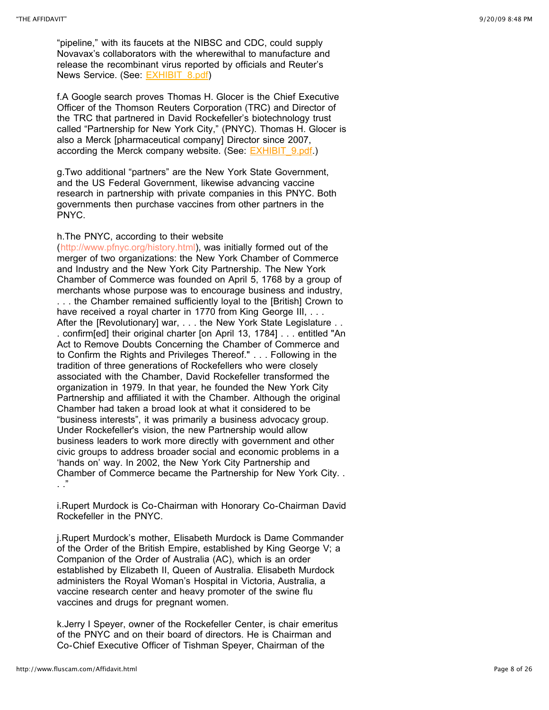"pipeline," with its faucets at the NIBSC and CDC, could supply Novavax's collaborators with the wherewithal to manufacture and release the recombinant virus reported by officials and Reuter's News Service. (See: **EXHIBIT** 8.pdf)

f.A Google search proves Thomas H. Glocer is the Chief Executive Officer of the Thomson Reuters Corporation (TRC) and Director of the TRC that partnered in David Rockefeller's biotechnology trust called "Partnership for New York City," (PNYC). Thomas H. Glocer is also a Merck [pharmaceutical company] Director since 2007, according the Merck company website. (See: **EXHIBIT** 9.pdf.)

g.Two additional "partners" are the New York State Government, and the US Federal Government, likewise advancing vaccine research in partnership with private companies in this PNYC. Both governments then purchase vaccines from other partners in the PNYC.

#### h.The PNYC, according to their website

(<http://www.pfnyc.org/history.html>), was initially formed out of the merger of two organizations: the New York Chamber of Commerce and Industry and the New York City Partnership. The New York Chamber of Commerce was founded on April 5, 1768 by a group of merchants whose purpose was to encourage business and industry, . . . the Chamber remained sufficiently loyal to the [British] Crown to have received a royal charter in 1770 from King George III. . . . After the [Revolutionary] war, . . . the New York State Legislature . . . confirm[ed] their original charter [on April 13, 1784] . . . entitled "An Act to Remove Doubts Concerning the Chamber of Commerce and to Confirm the Rights and Privileges Thereof." . . . Following in the tradition of three generations of Rockefellers who were closely associated with the Chamber, David Rockefeller transformed the organization in 1979. In that year, he founded the New York City Partnership and affiliated it with the Chamber. Although the original Chamber had taken a broad look at what it considered to be "business interests", it was primarily a business advocacy group. Under Rockefeller's vision, the new Partnership would allow business leaders to work more directly with government and other civic groups to address broader social and economic problems in a 'hands on' way. In 2002, the New York City Partnership and Chamber of Commerce became the Partnership for New York City. .  $\cdot$  ."

i.Rupert Murdock is Co-Chairman with Honorary Co-Chairman David Rockefeller in the PNYC.

j.Rupert Murdock's mother, Elisabeth Murdock is Dame Commander of the Order of the British Empire, established by King George V; a Companion of the Order of Australia (AC), which is an order established by Elizabeth II, Queen of Australia. Elisabeth Murdock administers the Royal Woman's Hospital in Victoria, Australia, a vaccine research center and heavy promoter of the swine flu vaccines and drugs for pregnant women.

k.Jerry I Speyer, owner of the Rockefeller Center, is chair emeritus of the PNYC and on their board of directors. He is Chairman and Co-Chief Executive Officer of Tishman Speyer, Chairman of the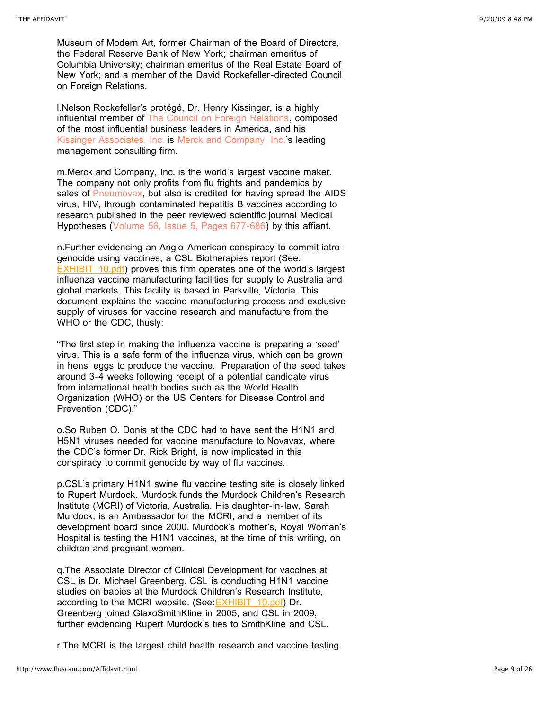Museum of Modern Art, former Chairman of the Board of Directors, the Federal Reserve Bank of New York; chairman emeritus of Columbia University; chairman emeritus of the Real Estate Board of New York; and a member of the David Rockefeller-directed Council on Foreign Relations.

l.Nelson Rockefeller's protégé, Dr. Henry Kissinger, is a highly influential member of [The Council on Foreign Relations,](http://www.cfr.org/about/) composed of the most influential business leaders in America, and his [Kissinger Associates, Inc.](http://www.kissingerassoc.com/) is [Merck and Company, Inc.'](http://www.merck.com/)s leading management consulting firm.

m.Merck and Company, Inc. is the world's largest vaccine maker. The company not only profits from flu frights and pandemics by sales of [Pneumovax,](http://www.merckvaccines.com/pneumProductPage_frmst.html) but also is credited for having spread the AIDS virus, HIV, through contaminated hepatitis B vaccines according to research published in the peer reviewed scientific journal Medical Hypotheses ([Volume 56, Issue 5, Pages 677-686](http://linkinghub.elsevier.com/retrieve/pii/S030698770091171X)) by this affiant.

n.Further evidencing an Anglo-American conspiracy to commit iatrogenocide using vaccines, a CSL Biotherapies report (See: **EXHIBIT** 10.pdf) proves this firm operates one of the world's largest influenza vaccine manufacturing facilities for supply to Australia and global markets. This facility is based in Parkville, Victoria. This document explains the vaccine manufacturing process and exclusive supply of viruses for vaccine research and manufacture from the WHO or the CDC, thusly:

"The first step in making the influenza vaccine is preparing a 'seed' virus. This is a safe form of the influenza virus, which can be grown in hens' eggs to produce the vaccine. Preparation of the seed takes around 3-4 weeks following receipt of a potential candidate virus from international health bodies such as the World Health Organization (WHO) or the US Centers for Disease Control and Prevention (CDC)."

o.So Ruben O. Donis at the CDC had to have sent the H1N1 and H5N1 viruses needed for vaccine manufacture to Novavax, where the CDC's former Dr. Rick Bright, is now implicated in this conspiracy to commit genocide by way of flu vaccines.

p.CSL's primary H1N1 swine flu vaccine testing site is closely linked to Rupert Murdock. Murdock funds the Murdock Children's Research Institute (MCRI) of Victoria, Australia. His daughter-in-law, Sarah Murdock, is an Ambassador for the MCRI, and a member of its development board since 2000. Murdock's mother's, Royal Woman's Hospital is testing the H1N1 vaccines, at the time of this writing, on children and pregnant women.

q.The Associate Director of Clinical Development for vaccines at CSL is Dr. Michael Greenberg. CSL is conducting H1N1 vaccine studies on babies at the Murdock Children's Research Institute, according to the MCRI website. (See: [EXHIBIT\\_10.pdf\)](http://www.fluscam.com/Affidavit_files/EXHIBIT_10_1.pdf) Dr. Greenberg joined GlaxoSmithKline in 2005, and CSL in 2009, further evidencing Rupert Murdock's ties to SmithKline and CSL.

r.The MCRI is the largest child health research and vaccine testing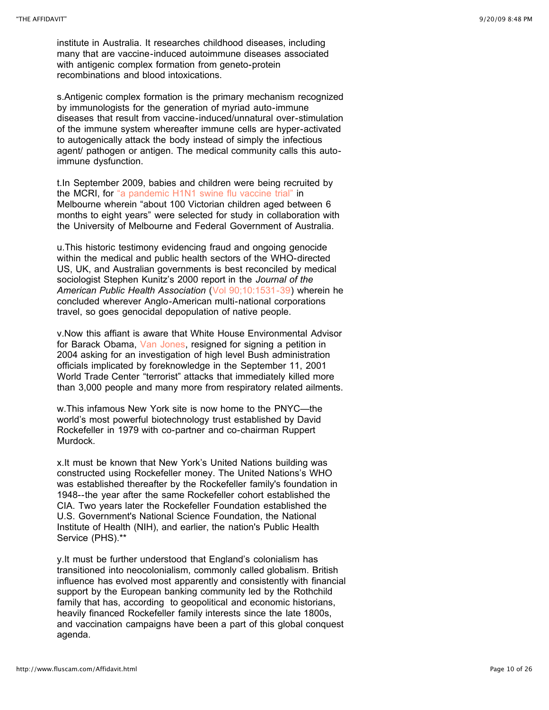institute in Australia. It researches childhood diseases, including many that are vaccine-induced autoimmune diseases associated with antigenic complex formation from geneto-protein recombinations and blood intoxications.

s.Antigenic complex formation is the primary mechanism recognized by immunologists for the generation of myriad auto-immune diseases that result from vaccine-induced/unnatural over-stimulation of the immune system whereafter immune cells are hyper-activated to autogenically attack the body instead of simply the infectious agent/ pathogen or antigen. The medical community calls this autoimmune dysfunction.

t.In September 2009, babies and children were being recruited by the MCRI, for ["a pandemic H1N1 swine flu vaccine trial"](http://www.mcri.edu.au/pages/research/news/2009/7/swine-flu-vaccine-trial-in-children-set-to-start.asp) in Melbourne wherein "about 100 Victorian children aged between 6 months to eight years" were selected for study in collaboration with the University of Melbourne and Federal Government of Australia.

u.This historic testimony evidencing fraud and ongoing genocide within the medical and public health sectors of the WHO-directed US, UK, and Australian governments is best reconciled by medical sociologist Stephen Kunitz's 2000 report in the *Journal of the American Public Health Association* ([Vol 90;10:1531-39](http://www.pubmedcentral.nih.gov/articlerender.fcgi?artid=1446376)) wherein he concluded wherever Anglo-American multi-national corporations travel, so goes genocidal depopulation of native people.

v.Now this affiant is aware that White House Environmental Advisor for Barack Obama, [Van Jones,](http://voices.washingtonpost.com/44/2009/09/06/van_jones_resigns.html) resigned for signing a petition in 2004 asking for an investigation of high level Bush administration officials implicated by foreknowledge in the September 11, 2001 World Trade Center "terrorist" attacks that immediately killed more than 3,000 people and many more from respiratory related ailments.

w.This infamous New York site is now home to the PNYC—the world's most powerful biotechnology trust established by David Rockefeller in 1979 with co-partner and co-chairman Ruppert Murdock.

x.It must be known that New York's United Nations building was constructed using Rockefeller money. The United Nations's WHO was established thereafter by the Rockefeller family's foundation in 1948--the year after the same Rockefeller cohort established the CIA. Two years later the Rockefeller Foundation established the U.S. Government's National Science Foundation, the National Institute of Health (NIH), and earlier, the nation's Public Health Service (PHS).\*\*

y.It must be further understood that England's colonialism has transitioned into neocolonialism, commonly called globalism. British influence has evolved most apparently and consistently with financial support by the European banking community led by the Rothchild family that has, according to geopolitical and economic historians, heavily financed Rockefeller family interests since the late 1800s, and vaccination campaigns have been a part of this global conquest agenda.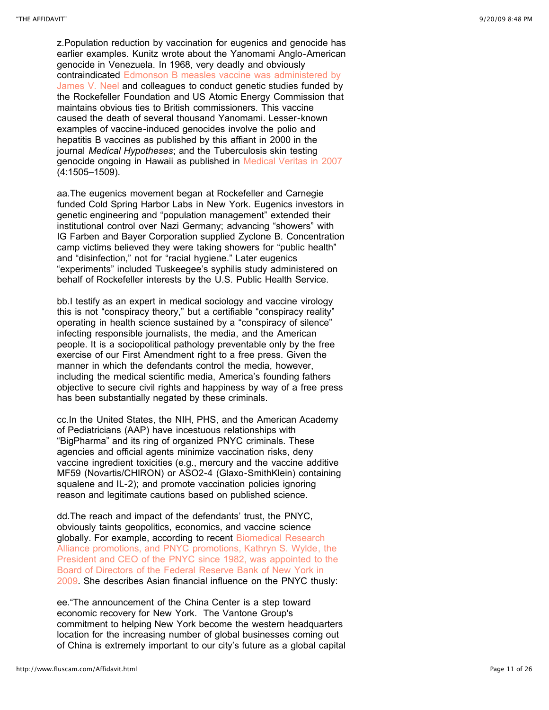z.Population reduction by vaccination for eugenics and genocide has earlier examples. Kunitz wrote about the Yanomami Anglo-American genocide in Venezuela. In 1968, very deadly and obviously [contraindicated Edmonson B measles vaccine was administered by](http://www.guardian.co.uk/world/2000/sep/23/paulbrown) James V. Neel and colleagues to conduct genetic studies funded by the Rockefeller Foundation and US Atomic Energy Commission that maintains obvious ties to British commissioners. This vaccine caused the death of several thousand Yanomami. Lesser-known examples of vaccine-induced genocides involve the polio and hepatitis B vaccines as published by this affiant in 2000 in the journal *Medical Hypotheses*; and the Tuberculosis skin testing genocide ongoing in Hawaii as published in [Medical Veritas in 2007](http://www.medicalveritas.com/images/00163.pdf) (4:1505–1509).

aa.The eugenics movement began at Rockefeller and Carnegie funded Cold Spring Harbor Labs in New York. Eugenics investors in genetic engineering and "population management" extended their institutional control over Nazi Germany; advancing "showers" with IG Farben and Bayer Corporation supplied Zyclone B. Concentration camp victims believed they were taking showers for "public health" and "disinfection," not for "racial hygiene." Later eugenics "experiments" included Tuskeegee's syphilis study administered on behalf of Rockefeller interests by the U.S. Public Health Service.

bb.I testify as an expert in medical sociology and vaccine virology this is not "conspiracy theory," but a certifiable "conspiracy reality" operating in health science sustained by a "conspiracy of silence" infecting responsible journalists, the media, and the American people. It is a sociopolitical pathology preventable only by the free exercise of our First Amendment right to a free press. Given the manner in which the defendants control the media, however, including the medical scientific media, America's founding fathers objective to secure civil rights and happiness by way of a free press has been substantially negated by these criminals.

cc.In the United States, the NIH, PHS, and the American Academy of Pediatricians (AAP) have incestuous relationships with "BigPharma" and its ring of organized PNYC criminals. These agencies and official agents minimize vaccination risks, deny vaccine ingredient toxicities (e.g., mercury and the vaccine additive MF59 (Novartis/CHIRON) or ASO2-4 (Glaxo-SmithKlein) containing squalene and IL-2); and promote vaccination policies ignoring reason and legitimate cautions based on published science.

dd.The reach and impact of the defendants' trust, the PNYC, obviously taints geopolitics, economics, and vaccine science globally. For example, according to recent Biomedical Research [Alliance promotions, and PNYC promotions, Kathryn S. Wylde, t](http://www.newyorkfed.org/newsevents/news/aboutthefed/2009/an090727.html)he President and CEO of the PNYC since 1982, was appointed to the Board of Directors of the Federal Reserve Bank of New York in [2009. She describes Asian financial influence on the PNYC thusly:](http://www.newyorkfed.org/newsevents/news/aboutthefed/2009/an090727.html) 

ee."The announcement of the China Center is a step toward economic recovery for New York. The Vantone Group's commitment to helping New York become the western headquarters location for the increasing number of global businesses coming out of China is extremely important to our city's future as a global capital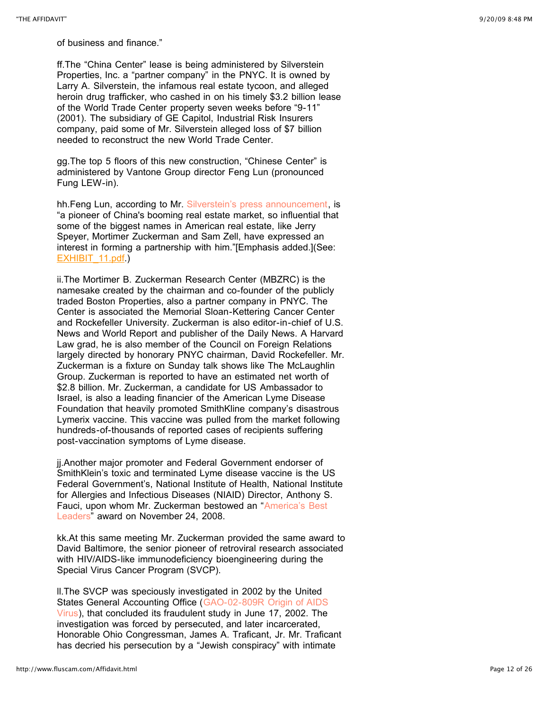of business and finance."

ff.The "China Center" lease is being administered by Silverstein Properties, Inc. a "partner company" in the PNYC. It is owned by Larry A. Silverstein, the infamous real estate tycoon, and alleged heroin drug trafficker, who cashed in on his timely \$3.2 billion lease of the World Trade Center property seven weeks before "9-11" (2001). The subsidiary of GE Capitol, Industrial Risk Insurers company, paid some of Mr. Silverstein alleged loss of \$7 billion needed to reconstruct the new World Trade Center.

gg.The top 5 floors of this new construction, "Chinese Center" is administered by Vantone Group director Feng Lun (pronounced Fung LEW-in).

hh.Feng Lun, according to Mr. [Silverstein's press announcement](http://www.silversteinproperties.com/news/tycoon-of-chinese-real-estate-is-leasing-at-trade-center-site), is "a pioneer of China's booming real estate market, so influential that some of the biggest names in American real estate, like Jerry Speyer, Mortimer Zuckerman and Sam Zell, have expressed an interest in forming a partnership with him."[Emphasis added.](See: [EXHIBIT\\_11.pdf.](http://www.fluscam.com/Affidavit_files/EXHIBIT_11.pdf))

ii.The Mortimer B. Zuckerman Research Center (MBZRC) is the namesake created by the chairman and co-founder of the publicly traded Boston Properties, also a partner company in PNYC. The Center is associated the Memorial Sloan-Kettering Cancer Center and Rockefeller University. Zuckerman is also editor-in-chief of U.S. News and World Report and publisher of the Daily News. A Harvard Law grad, he is also member of the Council on Foreign Relations largely directed by honorary PNYC chairman, David Rockefeller. Mr. Zuckerman is a fixture on Sunday talk shows like The McLaughlin Group. Zuckerman is reported to have an estimated net worth of \$2.8 billion. Mr. Zuckerman, a candidate for US Ambassador to Israel, is also a leading financier of the American Lyme Disease Foundation that heavily promoted SmithKline company's disastrous Lymerix vaccine. This vaccine was pulled from the market following hundreds-of-thousands of reported cases of recipients suffering post-vaccination symptoms of Lyme disease.

jj.Another major promoter and Federal Government endorser of SmithKlein's toxic and terminated Lyme disease vaccine is the US Federal Government's, National Institute of Health, National Institute for Allergies and Infectious Diseases (NIAID) Director, Anthony S. [Fauci, upon whom Mr. Zuckerman bestowed an "America's Best](http://www.usnews.com/features/news/special-reports/best-leaders.html) Leaders" award on November 24, 2008.

kk.At this same meeting Mr. Zuckerman provided the same award to David Baltimore, the senior pioneer of retroviral research associated with HIV/AIDS-like immunodeficiency bioengineering during the Special Virus Cancer Program (SVCP).

ll.The SVCP was speciously investigated in 2002 by the United [States General Accounting Office \(GAO-02-809R Origin of AIDS](http://www.gao.gov/new.items/d02809r.pdf) Virus), that concluded its fraudulent study in June 17, 2002. The investigation was forced by persecuted, and later incarcerated, Honorable Ohio Congressman, James A. Traficant, Jr. Mr. Traficant has decried his persecution by a "Jewish conspiracy" with intimate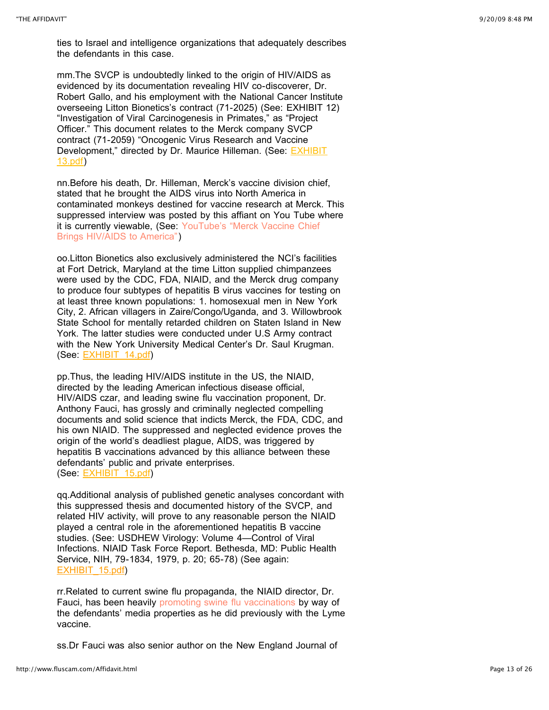ties to Israel and intelligence organizations that adequately describes the defendants in this case.

mm.The SVCP is undoubtedly linked to the origin of HIV/AIDS as evidenced by its documentation revealing HIV co-discoverer, Dr. Robert Gallo, and his employment with the National Cancer Institute overseeing Litton Bionetics's contract (71-2025) (See: EXHIBIT 12) "Investigation of Viral Carcinogenesis in Primates," as "Project Officer." This document relates to the Merck company SVCP contract (71-2059) "Oncogenic Virus Research and Vaccine Development," directed by Dr. Maurice Hilleman. (See: **EXHIBIT** 13.pdf)

nn.Before his death, Dr. Hilleman, Merck's vaccine division chief, stated that he brought the AIDS virus into North America in contaminated monkeys destined for vaccine research at Merck. This suppressed interview was posted by this affiant on You Tube where [it is currently viewable, \(See: YouTube's "Merck Vaccine Chief](http://www.youtube.com/watch?v=edikv0zbAlU) Brings HIV/AIDS to America")

oo.Litton Bionetics also exclusively administered the NCI's facilities at Fort Detrick, Maryland at the time Litton supplied chimpanzees were used by the CDC, FDA, NIAID, and the Merck drug company to produce four subtypes of hepatitis B virus vaccines for testing on at least three known populations: 1. homosexual men in New York City, 2. African villagers in Zaire/Congo/Uganda, and 3. Willowbrook State School for mentally retarded children on Staten Island in New York. The latter studies were conducted under U.S Army contract with the New York University Medical Center's Dr. Saul Krugman. (See: [EXHIBIT\\_14.pdf\)](http://www.fluscam.com/Affidavit_files/EXHIBIT_14.pdf)

pp.Thus, the leading HIV/AIDS institute in the US, the NIAID, directed by the leading American infectious disease official, HIV/AIDS czar, and leading swine flu vaccination proponent, Dr. Anthony Fauci, has grossly and criminally neglected compelling documents and solid science that indicts Merck, the FDA, CDC, and his own NIAID. The suppressed and neglected evidence proves the origin of the world's deadliest plague, AIDS, was triggered by hepatitis B vaccinations advanced by this alliance between these defendants' public and private enterprises. (See: [EXHIBIT\\_15.pdf\)](http://www.fluscam.com/Affidavit_files/EXHIBIT_15.pdf)

qq.Additional analysis of published genetic analyses concordant with this suppressed thesis and documented history of the SVCP, and related HIV activity, will prove to any reasonable person the NIAID played a central role in the aforementioned hepatitis B vaccine studies. (See: USDHEW Virology: Volume 4—Control of Viral Infections. NIAID Task Force Report. Bethesda, MD: Public Health Service, NIH, 79-1834, 1979, p. 20; 65-78) (See again: [EXHIBIT\\_15.pdf\)](http://www.fluscam.com/Affidavit_files/EXHIBIT_15_1.pdf)

rr.Related to current swine flu propaganda, the NIAID director, Dr. Fauci, has been heavily [promoting swine flu vaccinations](http://www.voanews.com/english/archive/2009-04/2009-04-29-voa14.cfm?CFID=285117998&CFTOKEN=28254630&jsessionid=8430f8808979be5360dd775e78c637111621) by way of the defendants' media properties as he did previously with the Lyme vaccine.

ss.Dr Fauci was also senior author on the New England Journal of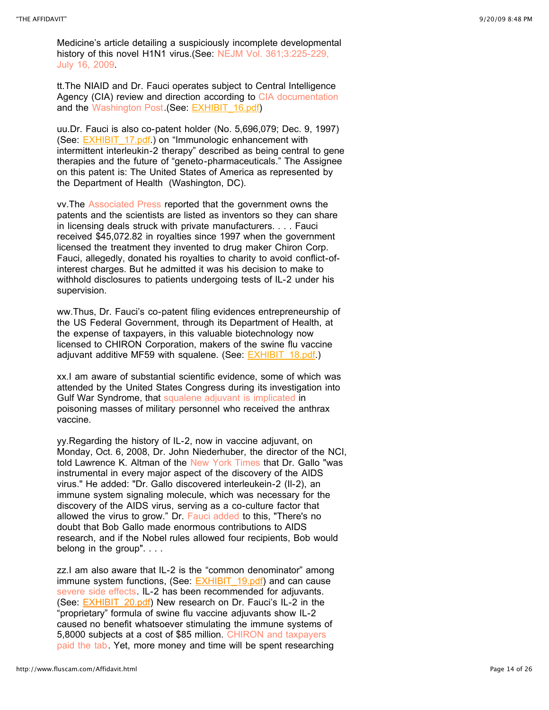Medicine's article detailing a suspiciously incomplete developmental history of this novel H1N1 virus. (See: NEJM Vol. 361;3:225-229, July 16, 2009.

tt.The NIAID and Dr. Fauci operates subject to Central Intelligence Agency (CIA) review and direction according to [CIA documentation](http://content.nejm.org/cgi/content/full/361/3/225) and the [Washington Post.](http://www.highbeam.com/doc/1P2-523330.html) (See: [EXHIBIT\\_16.pdf](http://www.fluscam.com/Affidavit_files/EXHIBIT_16.pdf))

uu.Dr. Fauci is also co-patent holder (No. 5,696,079; Dec. 9, 1997) (See: **EXHIBIT** 17.pdf.) on "Immunologic enhancement with intermittent interleukin-2 therapy" described as being central to gene therapies and the future of "geneto-pharmaceuticals." The Assignee on this patent is: The United States of America as represented by the Department of Health (Washington, DC).

vv.The [Associated Press](http://www.capitolhillblue.com/artman/publish/article_6009.shtml) reported that the government owns the patents and the scientists are listed as inventors so they can share in licensing deals struck with private manufacturers. . . . Fauci received \$45,072.82 in royalties since 1997 when the government licensed the treatment they invented to drug maker Chiron Corp. Fauci, allegedly, donated his royalties to charity to avoid conflict-ofinterest charges. But he admitted it was his decision to make to withhold disclosures to patients undergoing tests of IL-2 under his supervision.

ww.Thus, Dr. Fauci's co-patent filing evidences entrepreneurship of the US Federal Government, through its Department of Health, at the expense of taxpayers, in this valuable biotechnology now licensed to CHIRON Corporation, makers of the swine flu vaccine adjuvant additive MF59 with squalene. (See: **EXHIBIT\_18.pdf.)** 

xx.I am aware of substantial scientific evidence, some of which was attended by the United States Congress during its investigation into Gulf War Syndrome, that [squalene adjuvant is implicated](http://www.autoimmune.com/SqualeneInVaccine.html) in poisoning masses of military personnel who received the anthrax vaccine.

yy.Regarding the history of IL-2, now in vaccine adjuvant, on Monday, Oct. 6, 2008, Dr. John Niederhuber, the director of the NCI, told Lawrence K. Altman of the [New York Times](http://www.nytimes.com/2008/10/07/health/07nobel.html) that Dr. Gallo "was instrumental in every major aspect of the discovery of the AIDS virus." He added: "Dr. Gallo discovered interleukein-2 (Il-2), an immune system signaling molecule, which was necessary for the discovery of the AIDS virus, serving as a co-culture factor that allowed the virus to grow." Dr. [Fauci added](http://www.nytimes.com/2008/10/06/world/europe/06iht-nobel.4.16731634.html) to this, "There's no doubt that Bob Gallo made enormous contributions to AIDS research, and if the Nobel rules allowed four recipients, Bob would belong in the group". . . .

zz.I am also aware that IL-2 is the "common denominator" among immune system functions, (See: **[EXHIBIT\\_19.pdf](http://www.fluscam.com/Affidavit_files/EXHIBIT_19.pdf))** and can cause [severe side effects](http://www.aegis.com/pubs/bala/1996/BA960809.html). IL-2 has been recommended for adjuvants. (See: **EXHIBIT** 20.pdf) New research on Dr. Fauci's IL-2 in the "proprietary" formula of swine flu vaccine adjuvants show IL-2 caused no benefit whatsoever stimulating the immune systems of 5,8000 subjects at a cost of \$85 million. CHIRON and taxpayers [paid the tab. Yet, more money and time will be spent researchin](http://www.nih.gov/news/health/feb2009/niaid-10.htm)g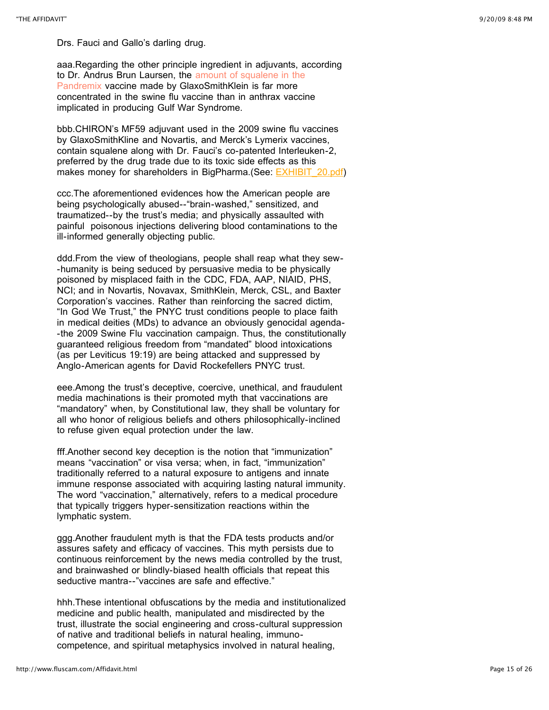Drs. Fauci and Gallo's darling drug.

aaa.Regarding the other principle ingredient in adjuvants, according [to Dr. Andrus Brun Laursen, the amount of squalene in the](http://www.globalresearch.ca/index.php?context=va&aid=14851) Pandremix vaccine made by GlaxoSmithKlein is far more concentrated in the swine flu vaccine than in anthrax vaccine implicated in producing Gulf War Syndrome.

bbb.CHIRON's MF59 adjuvant used in the 2009 swine flu vaccines by GlaxoSmithKline and Novartis, and Merck's Lymerix vaccines, contain squalene along with Dr. Fauci's co-patented Interleuken-2, preferred by the drug trade due to its toxic side effects as this makes money for shareholders in BigPharma.(See: **[EXHIBIT\\_20.pdf\)](http://www.fluscam.com/Affidavit_files/EXHIBIT_20_1.pdf)** 

ccc.The aforementioned evidences how the American people are being psychologically abused--"brain-washed," sensitized, and traumatized--by the trust's media; and physically assaulted with painful poisonous injections delivering blood contaminations to the ill-informed generally objecting public.

ddd.From the view of theologians, people shall reap what they sew- -humanity is being seduced by persuasive media to be physically poisoned by misplaced faith in the CDC, FDA, AAP, NIAID, PHS, NCI; and in Novartis, Novavax, SmithKlein, Merck, CSL, and Baxter Corporation's vaccines. Rather than reinforcing the sacred dictim, "In God We Trust," the PNYC trust conditions people to place faith in medical deities (MDs) to advance an obviously genocidal agenda- -the 2009 Swine Flu vaccination campaign. Thus, the constitutionally guaranteed religious freedom from "mandated" blood intoxications (as per Leviticus 19:19) are being attacked and suppressed by Anglo-American agents for David Rockefellers PNYC trust.

eee.Among the trust's deceptive, coercive, unethical, and fraudulent media machinations is their promoted myth that vaccinations are "mandatory" when, by Constitutional law, they shall be voluntary for all who honor of religious beliefs and others philosophically-inclined to refuse given equal protection under the law.

fff.Another second key deception is the notion that "immunization" means "vaccination" or visa versa; when, in fact, "immunization" traditionally referred to a natural exposure to antigens and innate immune response associated with acquiring lasting natural immunity. The word "vaccination," alternatively, refers to a medical procedure that typically triggers hyper-sensitization reactions within the lymphatic system.

ggg.Another fraudulent myth is that the FDA tests products and/or assures safety and efficacy of vaccines. This myth persists due to continuous reinforcement by the news media controlled by the trust, and brainwashed or blindly-biased health officials that repeat this seductive mantra--"vaccines are safe and effective."

hhh.These intentional obfuscations by the media and institutionalized medicine and public health, manipulated and misdirected by the trust, illustrate the social engineering and cross-cultural suppression of native and traditional beliefs in natural healing, immunocompetence, and spiritual metaphysics involved in natural healing,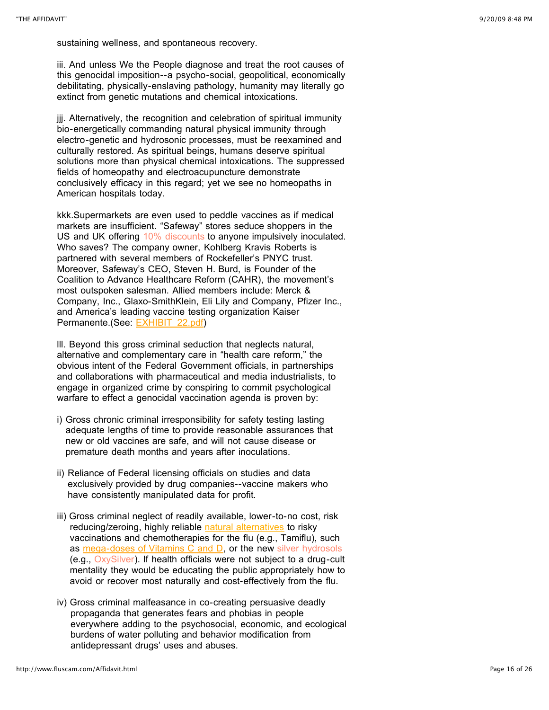sustaining wellness, and spontaneous recovery.

iii. And unless We the People diagnose and treat the root causes of this genocidal imposition--a psycho-social, geopolitical, economically debilitating, physically-enslaving pathology, humanity may literally go extinct from genetic mutations and chemical intoxications.

jij. Alternatively, the recognition and celebration of spiritual immunity bio-energetically commanding natural physical immunity through electro-genetic and hydrosonic processes, must be reexamined and culturally restored. As spiritual beings, humans deserve spiritual solutions more than physical chemical intoxications. The suppressed fields of homeopathy and electroacupuncture demonstrate conclusively efficacy in this regard; yet we see no homeopaths in American hospitals today.

kkk.Supermarkets are even used to peddle vaccines as if medical markets are insufficient. "Safeway" stores seduce shoppers in the US and UK offering [10% discounts](http://74.125.95.132/search?q=cache:45zk-0Uhg9UJ:community.safeway.com/+Safeway+10%25+discount+flu+vaccines&cd=6&hl=en&ct=clnk&gl=us&client=firefox-a) to anyone impulsively inoculated. Who saves? The company owner, Kohlberg Kravis Roberts is partnered with several members of Rockefeller's PNYC trust. Moreover, Safeway's CEO, Steven H. Burd, is Founder of the Coalition to Advance Healthcare Reform (CAHR), the movement's most outspoken salesman. Allied members include: Merck & Company, Inc., Glaxo-SmithKlein, Eli Lily and Company, Pfizer Inc., and America's leading vaccine testing organization Kaiser Permanente.(See: [EXHIBIT\\_22.pdf\)](http://www.fluscam.com/Affidavit_files/EXHIBIT_22.pdf)

lll. Beyond this gross criminal seduction that neglects natural, alternative and complementary care in "health care reform," the obvious intent of the Federal Government officials, in partnerships and collaborations with pharmaceutical and media industrialists, to engage in organized crime by conspiring to commit psychological warfare to effect a genocidal vaccination agenda is proven by:

- i) Gross chronic criminal irresponsibility for safety testing lasting adequate lengths of time to provide reasonable assurances that new or old vaccines are safe, and will not cause disease or premature death months and years after inoculations.
- ii) Reliance of Federal licensing officials on studies and data exclusively provided by drug companies--vaccine makers who have consistently manipulated data for profit.
- iii) Gross criminal neglect of readily available, lower-to-no cost, risk reducing/zeroing, highly reliable [natural alternatives](http://www.fluscam.com/FLU_%22TO_DOs%22.html) to risky vaccinations and chemotherapies for the flu (e.g., Tamiflu), such as [mega-doses of Vitamins C and D](http://www.fluscam.com/FLU_%22TO_DOs%22.html), or the new [silver hydrosols](http://www.nanoceo.net/nanorisks/silver-particles) (e.g., [OxySilver](http://www.oxysilver.com/)). If health officials were not subject to a drug-cult mentality they would be educating the public appropriately how to avoid or recover most naturally and cost-effectively from the flu.
- iv) Gross criminal malfeasance in co-creating persuasive deadly propaganda that generates fears and phobias in people everywhere adding to the psychosocial, economic, and ecological burdens of water polluting and behavior modification from antidepressant drugs' uses and abuses.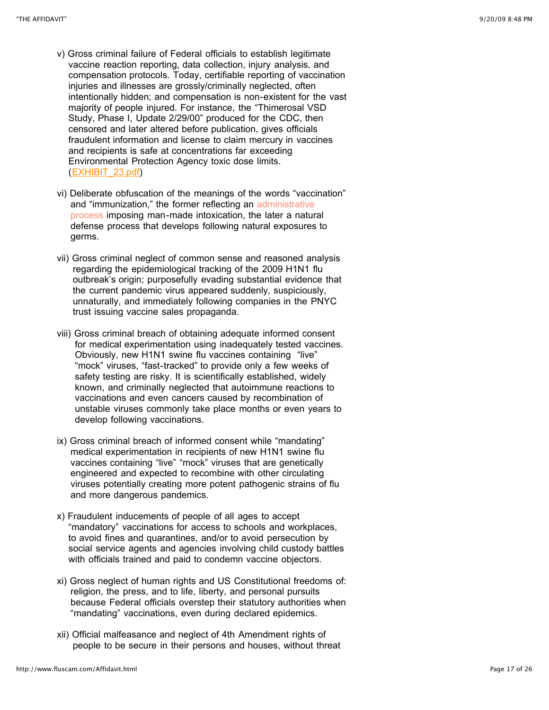- v) Gross criminal failure of Federal officials to establish legitimate vaccine reaction reporting, data collection, injury analysis, and compensation protocols. Today, certifiable reporting of vaccination injuries and illnesses are grossly/criminally neglected, often intentionally hidden; and compensation is non-existent for the vast majority of people injured. For instance, the "Thimerosal VSD Study, Phase I, Update 2/29/00" produced for the CDC, then censored and later altered before publication, gives officials fraudulent information and license to claim mercury in vaccines and recipients is safe at concentrations far exceeding Environmental Protection Agency toxic dose limits. ([EXHIBIT\\_23.pdf\)](http://www.fluscam.com/Affidavit_files/EXHIBIT_23.pdf)
- vi) Deliberate obfuscation of the meanings of the words "vaccination" and "immunization," the former reflecting an administrative [process imposing man-made intoxication, the later a natur](http://www.drlenhorowitz.com/Press/press_releases/tuberculosis/release8_hawaii_case.html)al defense process that develops following natural exposures to germs.
- vii) Gross criminal neglect of common sense and reasoned analysis regarding the epidemiological tracking of the 2009 H1N1 flu outbreak's origin; purposefully evading substantial evidence that the current pandemic virus appeared suddenly, suspiciously, unnaturally, and immediately following companies in the PNYC trust issuing vaccine sales propaganda.
- viii) Gross criminal breach of obtaining adequate informed consent for medical experimentation using inadequately tested vaccines. Obviously, new H1N1 swine flu vaccines containing "live" "mock" viruses, "fast-tracked" to provide only a few weeks of safety testing are risky. It is scientifically established, widely known, and criminally neglected that autoimmune reactions to vaccinations and even cancers caused by recombination of unstable viruses commonly take place months or even years to develop following vaccinations.
- ix) Gross criminal breach of informed consent while "mandating" medical experimentation in recipients of new H1N1 swine flu vaccines containing "live" "mock" viruses that are genetically engineered and expected to recombine with other circulating viruses potentially creating more potent pathogenic strains of flu and more dangerous pandemics.
- x) Fraudulent inducements of people of all ages to accept "mandatory" vaccinations for access to schools and workplaces, to avoid fines and quarantines, and/or to avoid persecution by social service agents and agencies involving child custody battles with officials trained and paid to condemn vaccine objectors.
- xi) Gross neglect of human rights and US Constitutional freedoms of: religion, the press, and to life, liberty, and personal pursuits because Federal officials overstep their statutory authorities when "mandating" vaccinations, even during declared epidemics.
- xii) Official malfeasance and neglect of 4th Amendment rights of people to be secure in their persons and houses, without threat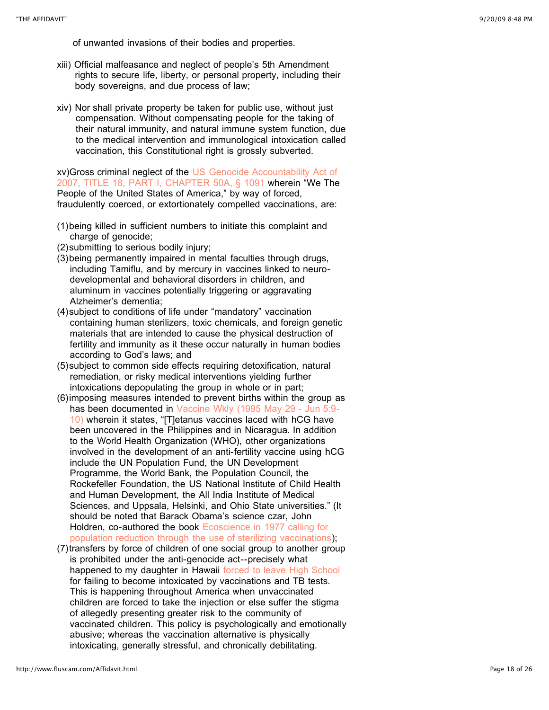of unwanted invasions of their bodies and properties.

- xiii) Official malfeasance and neglect of people's 5th Amendment rights to secure life, liberty, or personal property, including their body sovereigns, and due process of law;
- xiv) Nor shall private property be taken for public use, without just compensation. Without compensating people for the taking of their natural immunity, and natural immune system function, due to the medical intervention and immunological intoxication called vaccination, this Constitutional right is grossly subverted.

[xv\)Gross criminal neglect of the US Genocide Accountability Act of](http://uscode.house.gov/pdf/2007/2007usc18.pdf) 2007, TITLE 18, PART I, CHAPTER 50A, § 1091 wherein "We The People of the United States of America," by way of forced, fraudulently coerced, or extortionately compelled vaccinations, are:

- (1)being killed in sufficient numbers to initiate this complaint and charge of genocide;
- (2)submitting to serious bodily injury;
- (3)being permanently impaired in mental faculties through drugs, including Tamiflu, and by mercury in vaccines linked to neurodevelopmental and behavioral disorders in children, and aluminum in vaccines potentially triggering or aggravating Alzheimer's dementia;
- (4)subject to conditions of life under "mandatory" vaccination containing human sterilizers, toxic chemicals, and foreign genetic materials that are intended to cause the physical destruction of fertility and immunity as it these occur naturally in human bodies according to God's laws; and
- (5)subject to common side effects requiring detoxification, natural remediation, or risky medical interventions yielding further intoxications depopulating the group in whole or in part;
- (6)imposing measures intended to prevent births within the group as [has been documented in Vaccine Wkly \(1995 May 29 - Jun 5:9-](http://www.ncbi.nlm.nih.gov/sites/entrez?db=pubmed&term=Vaccine%20Wkly%20%5Bjour%5D) 10) wherein it states, "[T]etanus vaccines laced with hCG have been uncovered in the Philippines and in Nicaragua. In addition to the World Health Organization (WHO), other organizations involved in the development of an anti-fertility vaccine using hCG include the UN Population Fund, the UN Development Programme, the World Bank, the Population Council, the Rockefeller Foundation, the US National Institute of Child Health and Human Development, the All India Institute of Medical Sciences, and Uppsala, Helsinki, and Ohio State universities." (It should be noted that Barack Obama's science czar, John Holdren, co-authored the book [Ecoscience in 1977](http://www.foxnews.com/politics/2009/07/21/obamas-science-czar-considered-forced-abortions-sterilization-population-growth/) calling for [population reduction through the use of sterilizing vaccinations](http://www.foxnews.com/politics/2009/07/21/obamas-science-czar-considered-forced-abortions-sterilization-population-growth/));
- (7)transfers by force of children of one social group to another group is prohibited under the anti-genocide act--precisely what happened to my daughter in Hawaii [forced to leave High School](http://www.drlenhorowitz.com/Press/press_releases/tuberculosis/release8_hawaii_case.html) for failing to become intoxicated by vaccinations and TB tests. This is happening throughout America when unvaccinated children are forced to take the injection or else suffer the stigma of allegedly presenting greater risk to the community of vaccinated children. This policy is psychologically and emotionally abusive; whereas the vaccination alternative is physically intoxicating, generally stressful, and chronically debilitating.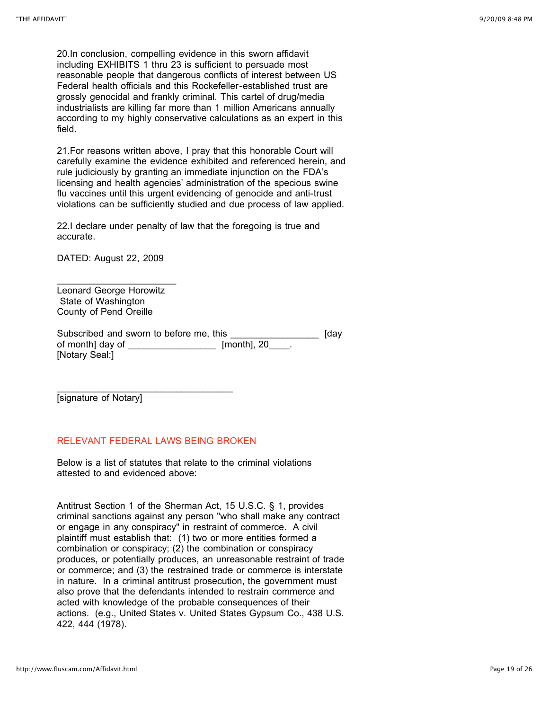20.In conclusion, compelling evidence in this sworn affidavit including EXHIBITS 1 thru 23 is sufficient to persuade most reasonable people that dangerous conflicts of interest between US Federal health officials and this Rockefeller-established trust are grossly genocidal and frankly criminal. This cartel of drug/media industrialists are killing far more than 1 million Americans annually according to my highly conservative calculations as an expert in this field.

21.For reasons written above, I pray that this honorable Court will carefully examine the evidence exhibited and referenced herein, and rule judiciously by granting an immediate injunction on the FDA's licensing and health agencies' administration of the specious swine flu vaccines until this urgent evidencing of genocide and anti-trust violations can be sufficiently studied and due process of law applied.

22.I declare under penalty of law that the foregoing is true and accurate.

DATED: August 22, 2009

Leonard George Horowitz State of Washington County of Pend Oreille

 $\mathcal{L}_\text{max}$  , where  $\mathcal{L}_\text{max}$  and  $\mathcal{L}_\text{max}$ 

Subscribed and sworn to before me, this \_\_\_\_\_\_\_\_\_\_\_\_\_\_\_\_\_\_\_\_\_\_ [day of month] day of \_\_\_\_\_\_\_\_\_\_\_\_\_\_\_\_\_\_\_\_\_ [month], 20 [Notary Seal:]

[signature of Notary]

### RELEVANT FEDERAL LAWS BEING BROKEN

 $\overline{\phantom{a}}$  , and the set of the set of the set of the set of the set of the set of the set of the set of the set of the set of the set of the set of the set of the set of the set of the set of the set of the set of the s

Below is a list of statutes that relate to the criminal violations attested to and evidenced above:

Antitrust Section 1 of the Sherman Act, 15 U.S.C. § 1, provides criminal sanctions against any person "who shall make any contract or engage in any conspiracy" in restraint of commerce. A civil plaintiff must establish that: (1) two or more entities formed a combination or conspiracy; (2) the combination or conspiracy produces, or potentially produces, an unreasonable restraint of trade or commerce; and (3) the restrained trade or commerce is interstate in nature. In a criminal antitrust prosecution, the government must also prove that the defendants intended to restrain commerce and acted with knowledge of the probable consequences of their actions. (e.g., United States v. United States Gypsum Co., 438 U.S. 422, 444 (1978).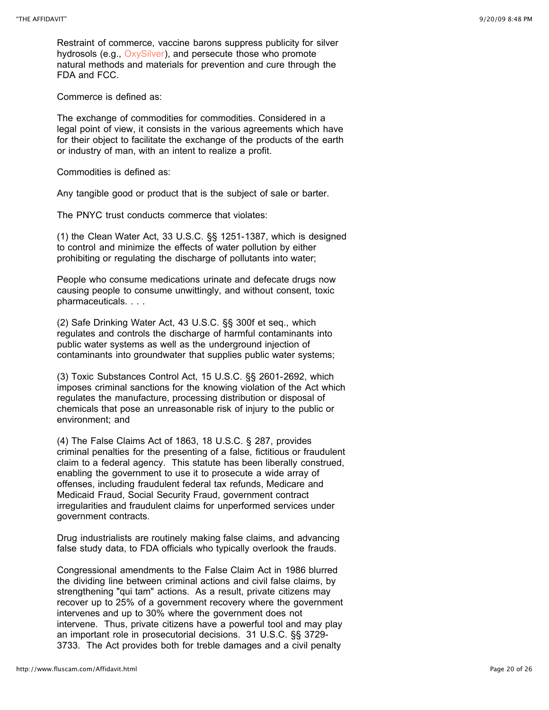Restraint of commerce, vaccine barons suppress publicity for silver hydrosols (e.g., [OxySilver\)](http://www.oxysilver.com/), and persecute those who promote natural methods and materials for prevention and cure through the FDA and FCC.

Commerce is defined as:

The exchange of commodities for commodities. Considered in a legal point of view, it consists in the various agreements which have for their object to facilitate the exchange of the products of the earth or industry of man, with an intent to realize a profit.

Commodities is defined as:

Any tangible good or product that is the subject of sale or barter.

The PNYC trust conducts commerce that violates:

(1) the Clean Water Act, 33 U.S.C. §§ 1251-1387, which is designed to control and minimize the effects of water pollution by either prohibiting or regulating the discharge of pollutants into water;

People who consume medications urinate and defecate drugs now causing people to consume unwittingly, and without consent, toxic pharmaceuticals. . . .

(2) Safe Drinking Water Act, 43 U.S.C. §§ 300f et seq., which regulates and controls the discharge of harmful contaminants into public water systems as well as the underground injection of contaminants into groundwater that supplies public water systems;

(3) Toxic Substances Control Act, 15 U.S.C. §§ 2601-2692, which imposes criminal sanctions for the knowing violation of the Act which regulates the manufacture, processing distribution or disposal of chemicals that pose an unreasonable risk of injury to the public or environment; and

(4) The False Claims Act of 1863, 18 U.S.C. § 287, provides criminal penalties for the presenting of a false, fictitious or fraudulent claim to a federal agency. This statute has been liberally construed, enabling the government to use it to prosecute a wide array of offenses, including fraudulent federal tax refunds, Medicare and Medicaid Fraud, Social Security Fraud, government contract irregularities and fraudulent claims for unperformed services under government contracts.

Drug industrialists are routinely making false claims, and advancing false study data, to FDA officials who typically overlook the frauds.

Congressional amendments to the False Claim Act in 1986 blurred the dividing line between criminal actions and civil false claims, by strengthening "qui tam" actions. As a result, private citizens may recover up to 25% of a government recovery where the government intervenes and up to 30% where the government does not intervene. Thus, private citizens have a powerful tool and may play an important role in prosecutorial decisions. 31 U.S.C. §§ 3729- 3733. The Act provides both for treble damages and a civil penalty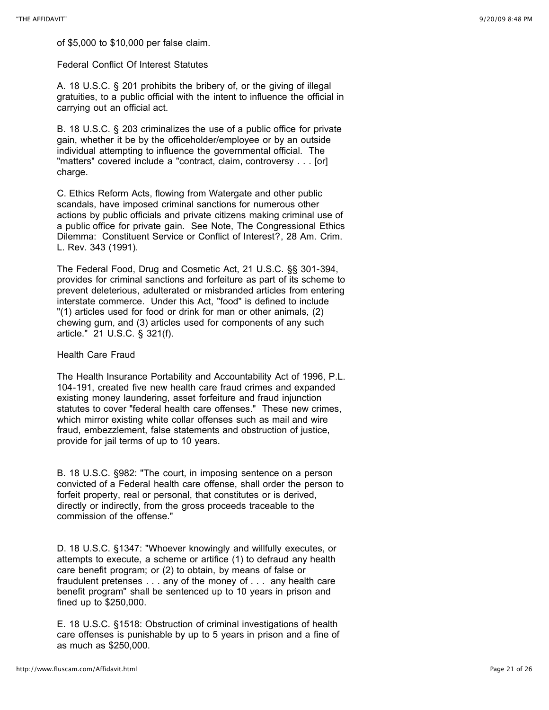of \$5,000 to \$10,000 per false claim.

Federal Conflict Of Interest Statutes

A. 18 U.S.C. § 201 prohibits the bribery of, or the giving of illegal gratuities, to a public official with the intent to influence the official in carrying out an official act.

B. 18 U.S.C. § 203 criminalizes the use of a public office for private gain, whether it be by the officeholder/employee or by an outside individual attempting to influence the governmental official. The "matters" covered include a "contract, claim, controversy . . . [or] charge.

C. Ethics Reform Acts, flowing from Watergate and other public scandals, have imposed criminal sanctions for numerous other actions by public officials and private citizens making criminal use of a public office for private gain. See Note, The Congressional Ethics Dilemma: Constituent Service or Conflict of Interest?, 28 Am. Crim. L. Rev. 343 (1991).

The Federal Food, Drug and Cosmetic Act, 21 U.S.C. §§ 301-394, provides for criminal sanctions and forfeiture as part of its scheme to prevent deleterious, adulterated or misbranded articles from entering interstate commerce. Under this Act, "food" is defined to include "(1) articles used for food or drink for man or other animals, (2) chewing gum, and (3) articles used for components of any such article." 21 U.S.C. § 321(f).

### Health Care Fraud

The Health Insurance Portability and Accountability Act of 1996, P.L. 104-191, created five new health care fraud crimes and expanded existing money laundering, asset forfeiture and fraud injunction statutes to cover "federal health care offenses." These new crimes, which mirror existing white collar offenses such as mail and wire fraud, embezzlement, false statements and obstruction of justice, provide for jail terms of up to 10 years.

B. 18 U.S.C. §982: "The court, in imposing sentence on a person convicted of a Federal health care offense, shall order the person to forfeit property, real or personal, that constitutes or is derived, directly or indirectly, from the gross proceeds traceable to the commission of the offense."

D. 18 U.S.C. §1347: "Whoever knowingly and willfully executes, or attempts to execute, a scheme or artifice (1) to defraud any health care benefit program; or (2) to obtain, by means of false or fraudulent pretenses . . . any of the money of . . . any health care benefit program" shall be sentenced up to 10 years in prison and fined up to \$250,000.

E. 18 U.S.C. §1518: Obstruction of criminal investigations of health care offenses is punishable by up to 5 years in prison and a fine of as much as \$250,000.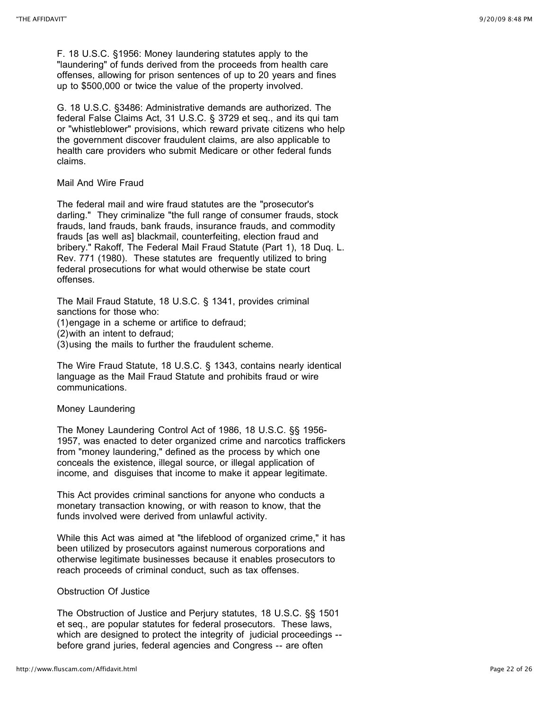F. 18 U.S.C. §1956: Money laundering statutes apply to the "laundering" of funds derived from the proceeds from health care offenses, allowing for prison sentences of up to 20 years and fines up to \$500,000 or twice the value of the property involved.

G. 18 U.S.C. §3486: Administrative demands are authorized. The federal False Claims Act, 31 U.S.C. § 3729 et seq., and its qui tam or "whistleblower" provisions, which reward private citizens who help the government discover fraudulent claims, are also applicable to health care providers who submit Medicare or other federal funds claims.

#### Mail And Wire Fraud

The federal mail and wire fraud statutes are the "prosecutor's darling." They criminalize "the full range of consumer frauds, stock frauds, land frauds, bank frauds, insurance frauds, and commodity frauds [as well as] blackmail, counterfeiting, election fraud and bribery." Rakoff, The Federal Mail Fraud Statute (Part 1), 18 Duq. L. Rev. 771 (1980). These statutes are frequently utilized to bring federal prosecutions for what would otherwise be state court offenses.

The Mail Fraud Statute, 18 U.S.C. § 1341, provides criminal sanctions for those who:

(1)engage in a scheme or artifice to defraud;

(2)with an intent to defraud;

(3)using the mails to further the fraudulent scheme.

The Wire Fraud Statute, 18 U.S.C. § 1343, contains nearly identical language as the Mail Fraud Statute and prohibits fraud or wire communications.

### Money Laundering

The Money Laundering Control Act of 1986, 18 U.S.C. §§ 1956- 1957, was enacted to deter organized crime and narcotics traffickers from "money laundering," defined as the process by which one conceals the existence, illegal source, or illegal application of income, and disguises that income to make it appear legitimate.

This Act provides criminal sanctions for anyone who conducts a monetary transaction knowing, or with reason to know, that the funds involved were derived from unlawful activity.

While this Act was aimed at "the lifeblood of organized crime," it has been utilized by prosecutors against numerous corporations and otherwise legitimate businesses because it enables prosecutors to reach proceeds of criminal conduct, such as tax offenses.

### Obstruction Of Justice

The Obstruction of Justice and Perjury statutes, 18 U.S.C. §§ 1501 et seq., are popular statutes for federal prosecutors. These laws, which are designed to protect the integrity of judicial proceedings - before grand juries, federal agencies and Congress -- are often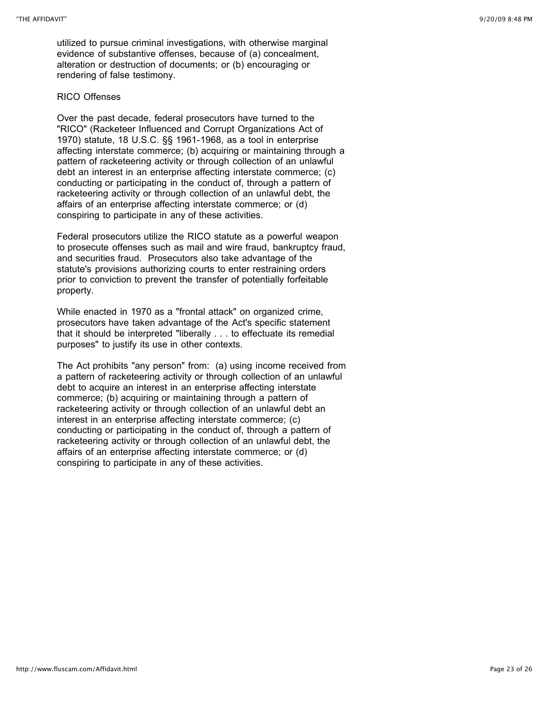utilized to pursue criminal investigations, with otherwise marginal evidence of substantive offenses, because of (a) concealment, alteration or destruction of documents; or (b) encouraging or rendering of false testimony.

#### RICO Offenses

Over the past decade, federal prosecutors have turned to the "RICO" (Racketeer Influenced and Corrupt Organizations Act of 1970) statute, 18 U.S.C. §§ 1961-1968, as a tool in enterprise affecting interstate commerce; (b) acquiring or maintaining through a pattern of racketeering activity or through collection of an unlawful debt an interest in an enterprise affecting interstate commerce; (c) conducting or participating in the conduct of, through a pattern of racketeering activity or through collection of an unlawful debt, the affairs of an enterprise affecting interstate commerce; or (d) conspiring to participate in any of these activities.

Federal prosecutors utilize the RICO statute as a powerful weapon to prosecute offenses such as mail and wire fraud, bankruptcy fraud, and securities fraud. Prosecutors also take advantage of the statute's provisions authorizing courts to enter restraining orders prior to conviction to prevent the transfer of potentially forfeitable property.

While enacted in 1970 as a "frontal attack" on organized crime, prosecutors have taken advantage of the Act's specific statement that it should be interpreted "liberally . . . to effectuate its remedial purposes" to justify its use in other contexts.

The Act prohibits "any person" from: (a) using income received from a pattern of racketeering activity or through collection of an unlawful debt to acquire an interest in an enterprise affecting interstate commerce; (b) acquiring or maintaining through a pattern of racketeering activity or through collection of an unlawful debt an interest in an enterprise affecting interstate commerce; (c) conducting or participating in the conduct of, through a pattern of racketeering activity or through collection of an unlawful debt, the affairs of an enterprise affecting interstate commerce; or (d) conspiring to participate in any of these activities.